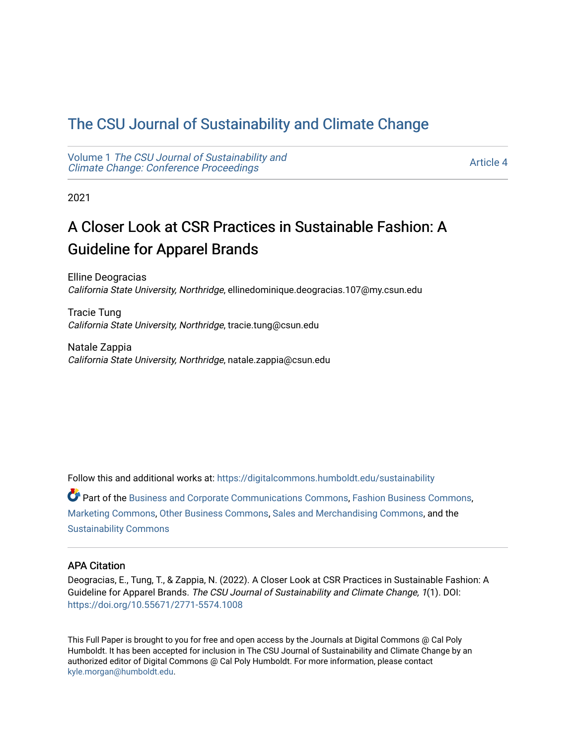## [The CSU Journal of Sustainability and Climate Change](https://digitalcommons.humboldt.edu/sustainability)

Volume 1 [The CSU Journal of Sustainability and](https://digitalcommons.humboldt.edu/sustainability/vol1) [Climate Change: Conference Proceedings](https://digitalcommons.humboldt.edu/sustainability/vol1) 

[Article 4](https://digitalcommons.humboldt.edu/sustainability/vol1/iss1/4) 

2021

# A Closer Look at CSR Practices in Sustainable Fashion: A Guideline for Apparel Brands

Elline Deogracias California State University, Northridge, ellinedominique.deogracias.107@my.csun.edu

Tracie Tung California State University, Northridge, tracie.tung@csun.edu

Natale Zappia California State University, Northridge, natale.zappia@csun.edu

Follow this and additional works at: [https://digitalcommons.humboldt.edu/sustainability](https://digitalcommons.humboldt.edu/sustainability?utm_source=digitalcommons.humboldt.edu%2Fsustainability%2Fvol1%2Fiss1%2F4&utm_medium=PDF&utm_campaign=PDFCoverPages)

Part of the [Business and Corporate Communications Commons](http://network.bepress.com/hgg/discipline/627?utm_source=digitalcommons.humboldt.edu%2Fsustainability%2Fvol1%2Fiss1%2F4&utm_medium=PDF&utm_campaign=PDFCoverPages), [Fashion Business Commons](http://network.bepress.com/hgg/discipline/1147?utm_source=digitalcommons.humboldt.edu%2Fsustainability%2Fvol1%2Fiss1%2F4&utm_medium=PDF&utm_campaign=PDFCoverPages), [Marketing Commons](http://network.bepress.com/hgg/discipline/638?utm_source=digitalcommons.humboldt.edu%2Fsustainability%2Fvol1%2Fiss1%2F4&utm_medium=PDF&utm_campaign=PDFCoverPages), [Other Business Commons,](http://network.bepress.com/hgg/discipline/647?utm_source=digitalcommons.humboldt.edu%2Fsustainability%2Fvol1%2Fiss1%2F4&utm_medium=PDF&utm_campaign=PDFCoverPages) [Sales and Merchandising Commons](http://network.bepress.com/hgg/discipline/646?utm_source=digitalcommons.humboldt.edu%2Fsustainability%2Fvol1%2Fiss1%2F4&utm_medium=PDF&utm_campaign=PDFCoverPages), and the [Sustainability Commons](http://network.bepress.com/hgg/discipline/1031?utm_source=digitalcommons.humboldt.edu%2Fsustainability%2Fvol1%2Fiss1%2F4&utm_medium=PDF&utm_campaign=PDFCoverPages)

#### APA Citation

Deogracias, E., Tung, T., & Zappia, N. (2022). A Closer Look at CSR Practices in Sustainable Fashion: A Guideline for Apparel Brands. The CSU Journal of Sustainability and Climate Change, 1(1). DOI: <https://doi.org/10.55671/2771-5574.1008>

This Full Paper is brought to you for free and open access by the Journals at Digital Commons @ Cal Poly Humboldt. It has been accepted for inclusion in The CSU Journal of Sustainability and Climate Change by an authorized editor of Digital Commons @ Cal Poly Humboldt. For more information, please contact [kyle.morgan@humboldt.edu](mailto:kyle.morgan@humboldt.edu).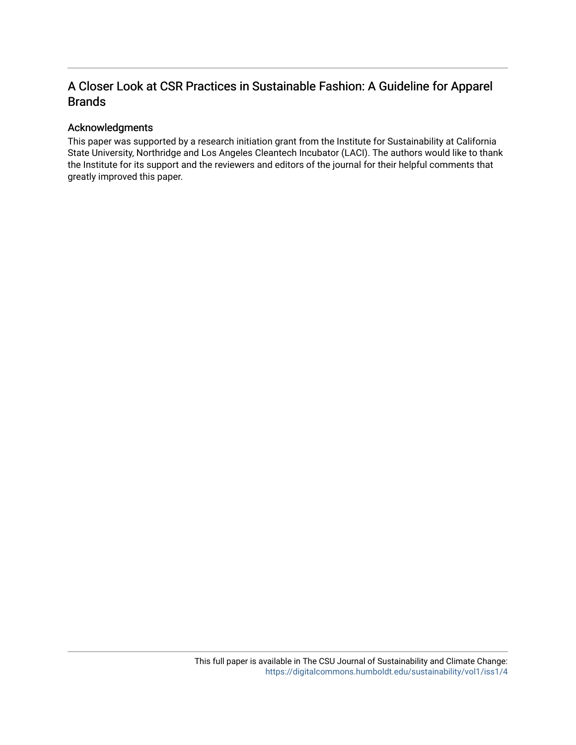### A Closer Look at CSR Practices in Sustainable Fashion: A Guideline for Apparel Brands

#### Acknowledgments

This paper was supported by a research initiation grant from the Institute for Sustainability at California State University, Northridge and Los Angeles Cleantech Incubator (LACI). The authors would like to thank the Institute for its support and the reviewers and editors of the journal for their helpful comments that greatly improved this paper.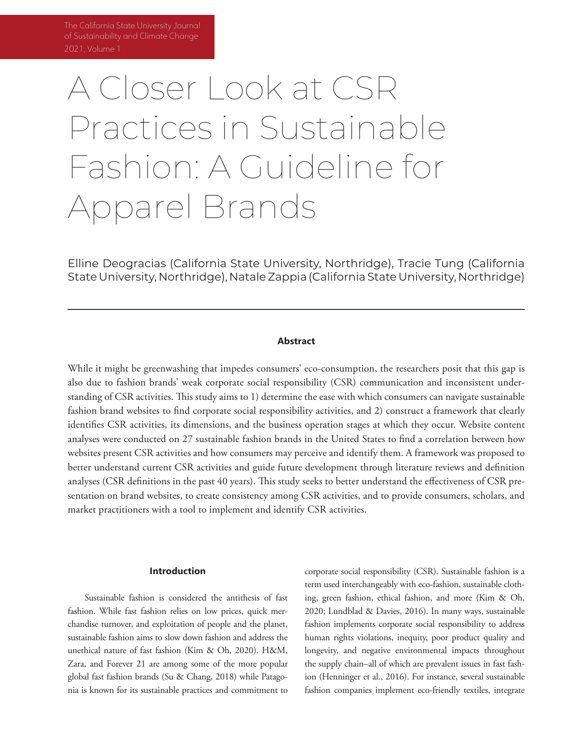of Sustainability and Climate Change 2021, Volume 1

# A Closer Look at CSR Practices in Sustainable Fashion: A Guideline for Apparel Brands

Elline Deogracias (California State University, Northridge), Tracie Tung (California State University, Northridge), Natale Zappia (California State University, Northridge)

#### **Abstract**

While it might be greenwashing that impedes consumers' eco-consumption, the researchers posit that this gap is also due to fashion brands' weak corporate social responsibility (CSR) communication and inconsistent understanding of CSR activities. This study aims to 1) determine the ease with which consumers can navigate sustainable fashion brand websites to find corporate social responsibility activities, and 2) construct a framework that clearly identifies CSR activities, its dimensions, and the business operation stages at which they occur. Website content analyses were conducted on 27 sustainable fashion brands in the United States to find a correlation between how websites present CSR activities and how consumers may perceive and identify them. A framework was proposed to better understand current CSR activities and guide future development through literature reviews and definition analyses (CSR definitions in the past 40 years). This study seeks to better understand the effectiveness of CSR presentation on brand websites, to create consistency among CSR activities, and to provide consumers, scholars, and market practitioners with a tool to implement and identify CSR activities.

#### **Introduction**

Sustainable fashion is considered the antithesis of fast fashion. While fast fashion relies on low prices, quick merchandise turnover, and exploitation of people and the planet, sustainable fashion aims to slow down fashion and address the unethical nature of fast fashion (Kim & Oh, 2020). H&M, Zara, and Forever 21 are among some of the more popular global fast fashion brands (Su & Chang, 2018) while Patagonia is known for its sustainable practices and commitment to

corporate social responsibility (CSR). Sustainable fashion is a term used interchangeably with eco-fashion, sustainable clothing, green fashion, ethical fashion, and more (Kim & Oh, 2020; Lundblad & Davies, 2016). In many ways, sustainable fashion implements corporate social responsibility to address human rights violations, inequity, poor product quality and longevity, and negative environmental impacts throughout the supply chain–all of which are prevalent issues in fast fashion (Henninger et al., 2016). For instance, several sustainable fashion companies implement eco-friendly textiles, integrate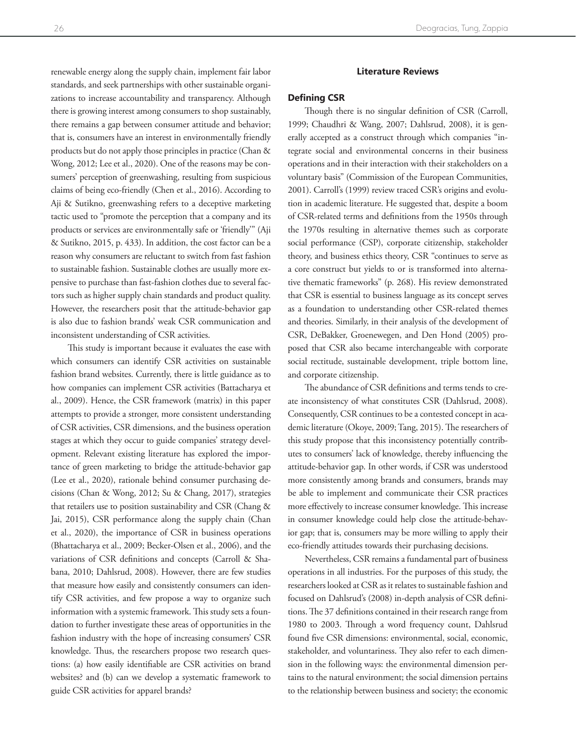renewable energy along the supply chain, implement fair labor standards, and seek partnerships with other sustainable organizations to increase accountability and transparency. Although there is growing interest among consumers to shop sustainably, there remains a gap between consumer attitude and behavior; that is, consumers have an interest in environmentally friendly products but do not apply those principles in practice (Chan & Wong, 2012; Lee et al., 2020). One of the reasons may be consumers' perception of greenwashing, resulting from suspicious claims of being eco-friendly (Chen et al., 2016). According to Aji & Sutikno, greenwashing refers to a deceptive marketing tactic used to "promote the perception that a company and its products or services are environmentally safe or 'friendly'" (Aji & Sutikno, 2015, p. 433). In addition, the cost factor can be a reason why consumers are reluctant to switch from fast fashion to sustainable fashion. Sustainable clothes are usually more expensive to purchase than fast-fashion clothes due to several factors such as higher supply chain standards and product quality. However, the researchers posit that the attitude-behavior gap is also due to fashion brands' weak CSR communication and inconsistent understanding of CSR activities.

This study is important because it evaluates the ease with which consumers can identify CSR activities on sustainable fashion brand websites. Currently, there is little guidance as to how companies can implement CSR activities (Battacharya et al., 2009). Hence, the CSR framework (matrix) in this paper attempts to provide a stronger, more consistent understanding of CSR activities, CSR dimensions, and the business operation stages at which they occur to guide companies' strategy development. Relevant existing literature has explored the importance of green marketing to bridge the attitude-behavior gap (Lee et al., 2020), rationale behind consumer purchasing decisions (Chan & Wong, 2012; Su & Chang, 2017), strategies that retailers use to position sustainability and CSR (Chang & Jai, 2015), CSR performance along the supply chain (Chan et al., 2020), the importance of CSR in business operations (Bhattacharya et al., 2009; Becker-Olsen et al., 2006), and the variations of CSR definitions and concepts (Carroll & Shabana, 2010; Dahlsrud, 2008). However, there are few studies that measure how easily and consistently consumers can identify CSR activities, and few propose a way to organize such information with a systemic framework. This study sets a foundation to further investigate these areas of opportunities in the fashion industry with the hope of increasing consumers' CSR knowledge. Thus, the researchers propose two research questions: (a) how easily identifiable are CSR activities on brand websites? and (b) can we develop a systematic framework to guide CSR activities for apparel brands?

#### **Literature Reviews**

#### **Defining CSR**

Though there is no singular definition of CSR (Carroll, 1999; Chaudhri & Wang, 2007; Dahlsrud, 2008), it is generally accepted as a construct through which companies "integrate social and environmental concerns in their business operations and in their interaction with their stakeholders on a voluntary basis" (Commission of the European Communities, 2001). Carroll's (1999) review traced CSR's origins and evolution in academic literature. He suggested that, despite a boom of CSR-related terms and definitions from the 1950s through the 1970s resulting in alternative themes such as corporate social performance (CSP), corporate citizenship, stakeholder theory, and business ethics theory, CSR "continues to serve as a core construct but yields to or is transformed into alternative thematic frameworks" (p. 268). His review demonstrated that CSR is essential to business language as its concept serves as a foundation to understanding other CSR-related themes and theories. Similarly, in their analysis of the development of CSR, DeBakker, Groenewegen, and Den Hond (2005) proposed that CSR also became interchangeable with corporate social rectitude, sustainable development, triple bottom line, and corporate citizenship.

The abundance of CSR definitions and terms tends to create inconsistency of what constitutes CSR (Dahlsrud, 2008). Consequently, CSR continues to be a contested concept in academic literature (Okoye, 2009; Tang, 2015). The researchers of this study propose that this inconsistency potentially contributes to consumers' lack of knowledge, thereby influencing the attitude-behavior gap. In other words, if CSR was understood more consistently among brands and consumers, brands may be able to implement and communicate their CSR practices more effectively to increase consumer knowledge. This increase in consumer knowledge could help close the attitude-behavior gap; that is, consumers may be more willing to apply their eco-friendly attitudes towards their purchasing decisions.

Nevertheless, CSR remains a fundamental part of business operations in all industries. For the purposes of this study, the researchers looked at CSR as it relates to sustainable fashion and focused on Dahlsrud's (2008) in-depth analysis of CSR definitions. The 37 definitions contained in their research range from 1980 to 2003. Through a word frequency count, Dahlsrud found five CSR dimensions: environmental, social, economic, stakeholder, and voluntariness. They also refer to each dimension in the following ways: the environmental dimension pertains to the natural environment; the social dimension pertains to the relationship between business and society; the economic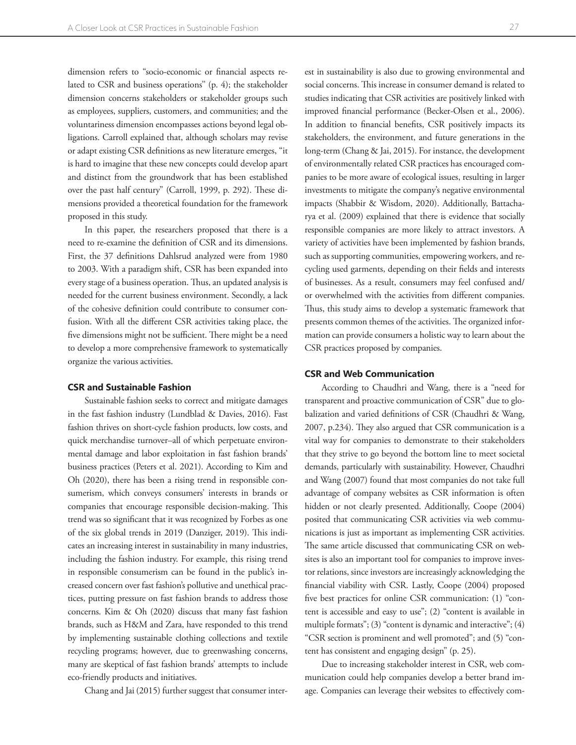dimension refers to "socio-economic or financial aspects related to CSR and business operations'' (p. 4); the stakeholder dimension concerns stakeholders or stakeholder groups such as employees, suppliers, customers, and communities; and the voluntariness dimension encompasses actions beyond legal obligations. Carroll explained that, although scholars may revise or adapt existing CSR definitions as new literature emerges, "it is hard to imagine that these new concepts could develop apart and distinct from the groundwork that has been established over the past half century" (Carroll, 1999, p. 292). These dimensions provided a theoretical foundation for the framework proposed in this study.

In this paper, the researchers proposed that there is a need to re-examine the definition of CSR and its dimensions. First, the 37 definitions Dahlsrud analyzed were from 1980 to 2003. With a paradigm shift, CSR has been expanded into every stage of a business operation. Thus, an updated analysis is needed for the current business environment. Secondly, a lack of the cohesive definition could contribute to consumer confusion. With all the different CSR activities taking place, the five dimensions might not be sufficient. There might be a need to develop a more comprehensive framework to systematically organize the various activities.

#### **CSR and Sustainable Fashion**

Sustainable fashion seeks to correct and mitigate damages in the fast fashion industry (Lundblad & Davies, 2016). Fast fashion thrives on short-cycle fashion products, low costs, and quick merchandise turnover–all of which perpetuate environmental damage and labor exploitation in fast fashion brands' business practices (Peters et al. 2021). According to Kim and Oh (2020), there has been a rising trend in responsible consumerism, which conveys consumers' interests in brands or companies that encourage responsible decision-making. This trend was so significant that it was recognized by Forbes as one of the six global trends in 2019 (Danziger, 2019). This indicates an increasing interest in sustainability in many industries, including the fashion industry. For example, this rising trend in responsible consumerism can be found in the public's increased concern over fast fashion's pollutive and unethical practices, putting pressure on fast fashion brands to address those concerns. Kim & Oh (2020) discuss that many fast fashion brands, such as H&M and Zara, have responded to this trend by implementing sustainable clothing collections and textile recycling programs; however, due to greenwashing concerns, many are skeptical of fast fashion brands' attempts to include eco-friendly products and initiatives.

Chang and Jai (2015) further suggest that consumer inter-

est in sustainability is also due to growing environmental and social concerns. This increase in consumer demand is related to studies indicating that CSR activities are positively linked with improved financial performance (Becker-Olsen et al., 2006). In addition to financial benefits, CSR positively impacts its stakeholders, the environment, and future generations in the long-term (Chang & Jai, 2015). For instance, the development of environmentally related CSR practices has encouraged companies to be more aware of ecological issues, resulting in larger investments to mitigate the company's negative environmental impacts (Shabbir & Wisdom, 2020). Additionally, Battacharya et al. (2009) explained that there is evidence that socially responsible companies are more likely to attract investors. A variety of activities have been implemented by fashion brands, such as supporting communities, empowering workers, and recycling used garments, depending on their fields and interests of businesses. As a result, consumers may feel confused and/ or overwhelmed with the activities from different companies. Thus, this study aims to develop a systematic framework that presents common themes of the activities. The organized information can provide consumers a holistic way to learn about the CSR practices proposed by companies.

#### **CSR and Web Communication**

According to Chaudhri and Wang, there is a "need for transparent and proactive communication of CSR" due to globalization and varied definitions of CSR (Chaudhri & Wang, 2007, p.234). They also argued that CSR communication is a vital way for companies to demonstrate to their stakeholders that they strive to go beyond the bottom line to meet societal demands, particularly with sustainability. However, Chaudhri and Wang (2007) found that most companies do not take full advantage of company websites as CSR information is often hidden or not clearly presented. Additionally, Coope (2004) posited that communicating CSR activities via web communications is just as important as implementing CSR activities. The same article discussed that communicating CSR on websites is also an important tool for companies to improve investor relations, since investors are increasingly acknowledging the financial viability with CSR. Lastly, Coope (2004) proposed five best practices for online CSR communication: (1) "content is accessible and easy to use"; (2) "content is available in multiple formats"; (3) "content is dynamic and interactive"; (4) "CSR section is prominent and well promoted"; and (5) "content has consistent and engaging design" (p. 25).

Due to increasing stakeholder interest in CSR, web communication could help companies develop a better brand image. Companies can leverage their websites to effectively com-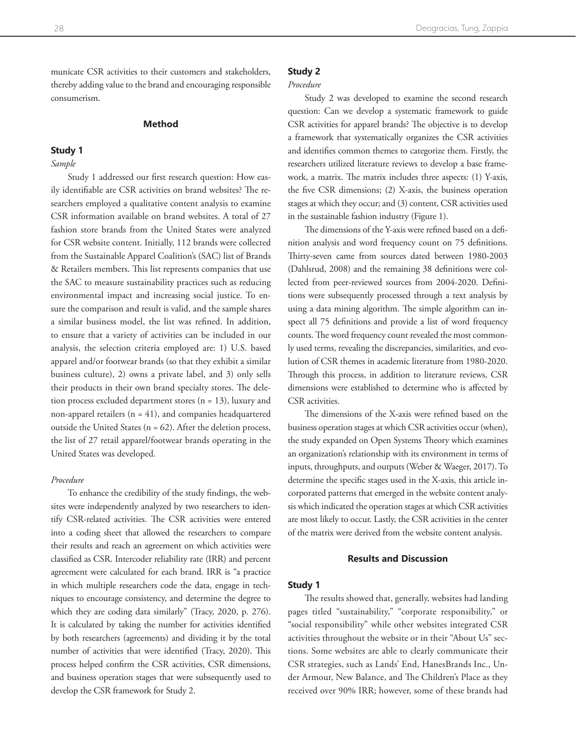municate CSR activities to their customers and stakeholders, thereby adding value to the brand and encouraging responsible consumerism.

#### **Method**

#### **Study 1**

#### *Sample*

Study 1 addressed our first research question: How easily identifiable are CSR activities on brand websites? The researchers employed a qualitative content analysis to examine CSR information available on brand websites. A total of 27 fashion store brands from the United States were analyzed for CSR website content. Initially, 112 brands were collected from the Sustainable Apparel Coalition's (SAC) list of Brands & Retailers members. This list represents companies that use the SAC to measure sustainability practices such as reducing environmental impact and increasing social justice. To ensure the comparison and result is valid, and the sample shares a similar business model, the list was refined. In addition, to ensure that a variety of activities can be included in our analysis, the selection criteria employed are: 1) U.S. based apparel and/or footwear brands (so that they exhibit a similar business culture), 2) owns a private label, and 3) only sells their products in their own brand specialty stores. The deletion process excluded department stores (n = 13), luxury and non-apparel retailers  $(n = 41)$ , and companies headquartered outside the United States ( $n = 62$ ). After the deletion process, the list of 27 retail apparel/footwear brands operating in the United States was developed.

#### *Procedure*

To enhance the credibility of the study findings, the websites were independently analyzed by two researchers to identify CSR-related activities. The CSR activities were entered into a coding sheet that allowed the researchers to compare their results and reach an agreement on which activities were classified as CSR. Intercoder reliability rate (IRR) and percent agreement were calculated for each brand. IRR is "a practice in which multiple researchers code the data, engage in techniques to encourage consistency, and determine the degree to which they are coding data similarly" (Tracy, 2020, p. 276). It is calculated by taking the number for activities identified by both researchers (agreements) and dividing it by the total number of activities that were identified (Tracy, 2020). This process helped confirm the CSR activities, CSR dimensions, and business operation stages that were subsequently used to develop the CSR framework for Study 2.

#### **Study 2**

#### *Procedure*

Study 2 was developed to examine the second research question: Can we develop a systematic framework to guide CSR activities for apparel brands? The objective is to develop a framework that systematically organizes the CSR activities and identifies common themes to categorize them. Firstly, the researchers utilized literature reviews to develop a base framework, a matrix. The matrix includes three aspects: (1) Y-axis, the five CSR dimensions; (2) X-axis, the business operation stages at which they occur; and (3) content, CSR activities used in the sustainable fashion industry (Figure 1).

The dimensions of the Y-axis were refined based on a definition analysis and word frequency count on 75 definitions. Thirty-seven came from sources dated between 1980-2003 (Dahlsrud, 2008) and the remaining 38 definitions were collected from peer-reviewed sources from 2004-2020. Definitions were subsequently processed through a text analysis by using a data mining algorithm. The simple algorithm can inspect all 75 definitions and provide a list of word frequency counts. The word frequency count revealed the most commonly used terms, revealing the discrepancies, similarities, and evolution of CSR themes in academic literature from 1980-2020. Through this process, in addition to literature reviews, CSR dimensions were established to determine who is affected by CSR activities.

The dimensions of the X-axis were refined based on the business operation stages at which CSR activities occur (when), the study expanded on Open Systems Theory which examines an organization's relationship with its environment in terms of inputs, throughputs, and outputs (Weber & Waeger, 2017). To determine the specific stages used in the X-axis, this article incorporated patterns that emerged in the website content analysis which indicated the operation stages at which CSR activities are most likely to occur. Lastly, the CSR activities in the center of the matrix were derived from the website content analysis.

#### **Results and Discussion**

#### **Study 1**

The results showed that, generally, websites had landing pages titled "sustainability," "corporate responsibility," or "social responsibility" while other websites integrated CSR activities throughout the website or in their "About Us" sections. Some websites are able to clearly communicate their CSR strategies, such as Lands' End, HanesBrands Inc., Under Armour, New Balance, and The Children's Place as they received over 90% IRR; however, some of these brands had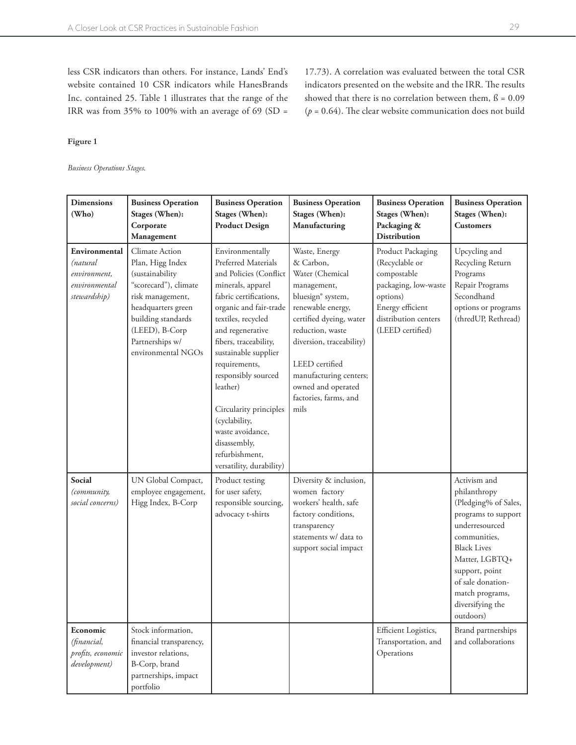17.73). A correlation was evaluated between the total CSR indicators presented on the website and the IRR. The results showed that there is no correlation between them,  $\beta = 0.09$  $(p = 0.64)$ . The clear website communication does not build

less CSR indicators than others. For instance, Lands' End's website contained 10 CSR indicators while HanesBrands Inc. contained 25. Table 1 illustrates that the range of the IRR was from 35% to 100% with an average of 69 (SD =

**Figure 1**

*Business Operations Stages.*

| <b>Dimensions</b><br>(Who)                                                 | <b>Business Operation</b><br>Stages (When):<br>Corporate<br>Management                                                                                                                                    | <b>Business Operation</b><br>Stages (When):<br><b>Product Design</b>                                                                                                                                                                                                                                                                                                                                                  | <b>Business Operation</b><br>Stages (When):<br>Manufacturing                                                                                                                                                                                                                                     | <b>Business Operation</b><br>Stages (When):<br>Packaging &<br><b>Distribution</b>                                                                      | <b>Business Operation</b><br>Stages (When):<br><b>Customers</b>                                                                                                                                                                                  |
|----------------------------------------------------------------------------|-----------------------------------------------------------------------------------------------------------------------------------------------------------------------------------------------------------|-----------------------------------------------------------------------------------------------------------------------------------------------------------------------------------------------------------------------------------------------------------------------------------------------------------------------------------------------------------------------------------------------------------------------|--------------------------------------------------------------------------------------------------------------------------------------------------------------------------------------------------------------------------------------------------------------------------------------------------|--------------------------------------------------------------------------------------------------------------------------------------------------------|--------------------------------------------------------------------------------------------------------------------------------------------------------------------------------------------------------------------------------------------------|
| Environmental<br>(natural<br>environment,<br>environmental<br>stewardship) | Climate Action<br>Plan, Higg Index<br>(sustainability<br>"scorecard"), climate<br>risk management,<br>headquarters green<br>building standards<br>(LEED), B-Corp<br>Partnerships w/<br>environmental NGOs | Environmentally<br>Preferred Materials<br>and Policies (Conflict<br>minerals, apparel<br>fabric certifications,<br>organic and fair-trade<br>textiles, recycled<br>and regenerative<br>fibers, traceability,<br>sustainable supplier<br>requirements,<br>responsibly sourced<br>leather)<br>Circularity principles<br>(cyclability,<br>waste avoidance,<br>disassembly,<br>refurbishment,<br>versatility, durability) | Waste, Energy<br>& Carbon,<br>Water (Chemical<br>management,<br>bluesign <sup>®</sup> system,<br>renewable energy,<br>certified dyeing, water<br>reduction, waste<br>diversion, traceability)<br>LEED certified<br>manufacturing centers;<br>owned and operated<br>factories, farms, and<br>mils | Product Packaging<br>(Recyclable or<br>compostable<br>packaging, low-waste<br>options)<br>Energy efficient<br>distribution centers<br>(LEED certified) | Upcycling and<br>Recycling Return<br>Programs<br>Repair Programs<br>Secondhand<br>options or programs<br>(thredUP, Rethread)                                                                                                                     |
| Social<br>(community,<br>social concerns)                                  | UN Global Compact,<br>employee engagement,<br>Higg Index, B-Corp                                                                                                                                          | Product testing<br>for user safety,<br>responsible sourcing,<br>advocacy t-shirts                                                                                                                                                                                                                                                                                                                                     | Diversity & inclusion,<br>women factory<br>workers' health, safe<br>factory conditions,<br>transparency<br>statements w/ data to<br>support social impact                                                                                                                                        |                                                                                                                                                        | Activism and<br>philanthropy<br>(Pledging% of Sales,<br>programs to support<br>underresourced<br>communities,<br><b>Black Lives</b><br>Matter, LGBTQ+<br>support, point<br>of sale donation-<br>match programs,<br>diversifying the<br>outdoors) |
| Economic<br>(financial,<br>profits, economic<br>development)               | Stock information,<br>financial transparency,<br>investor relations,<br>B-Corp, brand<br>partnerships, impact<br>portfolio                                                                                |                                                                                                                                                                                                                                                                                                                                                                                                                       |                                                                                                                                                                                                                                                                                                  | Efficient Logistics,<br>Transportation, and<br>Operations                                                                                              | Brand partnerships<br>and collaborations                                                                                                                                                                                                         |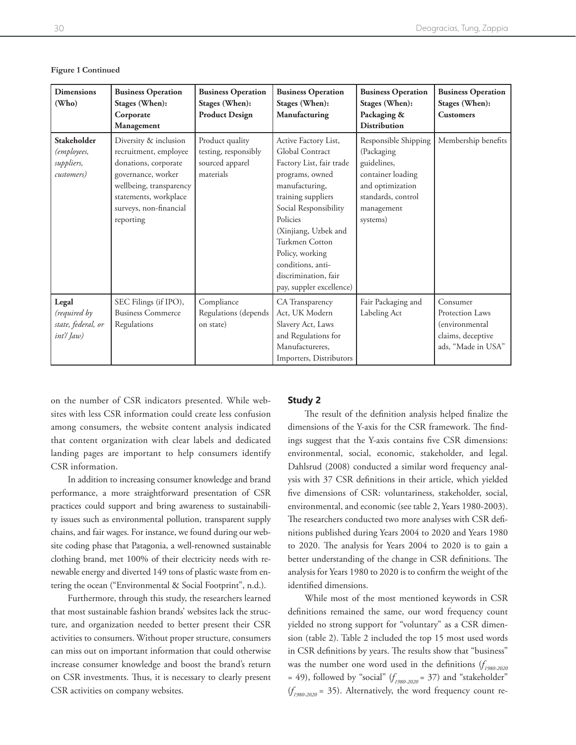| <b>Dimensions</b><br>(Who)                                    | <b>Business Operation</b><br>Stages (When):<br>Corporate<br>Management                                                                                                                  | <b>Business Operation</b><br>Stages (When):<br><b>Product Design</b>    | <b>Business Operation</b><br>Stages (When):<br>Manufacturing                                                                                                                                                                                                                                              | <b>Business Operation</b><br>Stages (When):<br>Packaging &<br><b>Distribution</b>                                                          | <b>Business Operation</b><br>Stages (When):<br><b>Customers</b>                                  |
|---------------------------------------------------------------|-----------------------------------------------------------------------------------------------------------------------------------------------------------------------------------------|-------------------------------------------------------------------------|-----------------------------------------------------------------------------------------------------------------------------------------------------------------------------------------------------------------------------------------------------------------------------------------------------------|--------------------------------------------------------------------------------------------------------------------------------------------|--------------------------------------------------------------------------------------------------|
| <b>Stakeholder</b><br>(employees,<br>suppliers,<br>customers) | Diversity & inclusion<br>recruitment, employee<br>donations, corporate<br>governance, worker<br>wellbeing, transparency<br>statements, workplace<br>surveys, non-financial<br>reporting | Product quality<br>testing, responsibly<br>sourced apparel<br>materials | Active Factory List,<br>Global Contract<br>Factory List, fair trade<br>programs, owned<br>manufacturing,<br>training suppliers<br>Social Responsibility<br>Policies<br>(Xinjiang, Uzbek and<br>Turkmen Cotton<br>Policy, working<br>conditions, anti-<br>discrimination, fair<br>pay, suppler excellence) | Responsible Shipping<br>(Packaging<br>guidelines,<br>container loading<br>and optimization<br>standards, control<br>management<br>systems) | Membership benefits                                                                              |
| Legal<br>(required by<br>state, federal, or<br>int'/Jaw)      | SEC Filings (if IPO),<br><b>Business Commerce</b><br>Regulations                                                                                                                        | Compliance<br>Regulations (depends<br>on state)                         | CA Transparency<br>Act, UK Modern<br>Slavery Act, Laws<br>and Regulations for<br>Manufactureres,<br>Importers, Distributors                                                                                                                                                                               | Fair Packaging and<br>Labeling Act                                                                                                         | Consumer<br>Protection Laws<br><i>(environmental)</i><br>claims, deceptive<br>ads, "Made in USA" |

**Figure 1 Continued**

on the number of CSR indicators presented. While websites with less CSR information could create less confusion among consumers, the website content analysis indicated that content organization with clear labels and dedicated landing pages are important to help consumers identify CSR information.

In addition to increasing consumer knowledge and brand performance, a more straightforward presentation of CSR practices could support and bring awareness to sustainability issues such as environmental pollution, transparent supply chains, and fair wages. For instance, we found during our website coding phase that Patagonia, a well-renowned sustainable clothing brand, met 100% of their electricity needs with renewable energy and diverted 149 tons of plastic waste from entering the ocean ("Environmental & Social Footprint", n.d.).

Furthermore, through this study, the researchers learned that most sustainable fashion brands' websites lack the structure, and organization needed to better present their CSR activities to consumers. Without proper structure, consumers can miss out on important information that could otherwise increase consumer knowledge and boost the brand's return on CSR investments. Thus, it is necessary to clearly present CSR activities on company websites.

#### **Study 2**

The result of the definition analysis helped finalize the dimensions of the Y-axis for the CSR framework. The findings suggest that the Y-axis contains five CSR dimensions: environmental, social, economic, stakeholder, and legal. Dahlsrud (2008) conducted a similar word frequency analysis with 37 CSR definitions in their article, which yielded five dimensions of CSR: voluntariness, stakeholder, social, environmental, and economic (see table 2, Years 1980-2003). The researchers conducted two more analyses with CSR definitions published during Years 2004 to 2020 and Years 1980 to 2020. The analysis for Years 2004 to 2020 is to gain a better understanding of the change in CSR definitions. The analysis for Years 1980 to 2020 is to confirm the weight of the identified dimensions.

While most of the most mentioned keywords in CSR definitions remained the same, our word frequency count yielded no strong support for "voluntary" as a CSR dimension (table 2). Table 2 included the top 15 most used words in CSR definitions by years. The results show that "business" was the number one word used in the definitions (*f 1980-2020*  = 49), followed by "social" (*f 1980-2020* = 37) and "stakeholder"  $(f_{1980-2020} = 35)$ . Alternatively, the word frequency count re-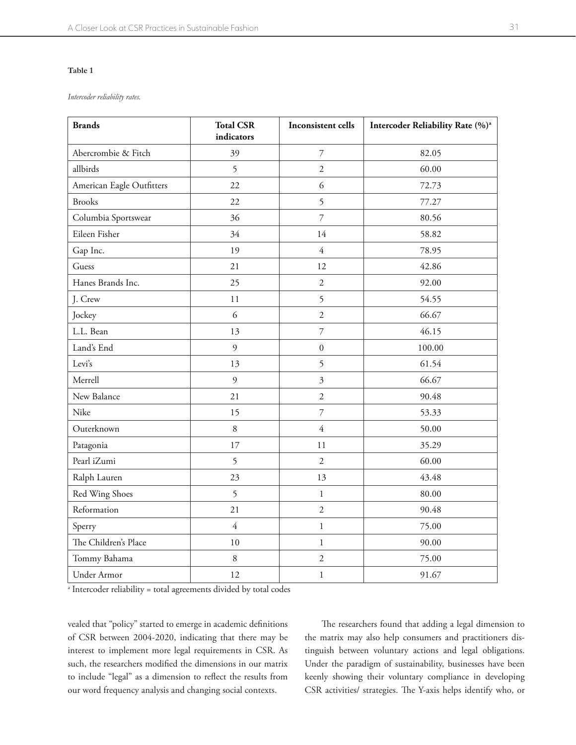#### **Table 1**

*Intercoder reliability rates.*

| <b>Brands</b>             | <b>Total CSR</b><br>Inconsistent cells<br>indicators |                           | Intercoder Reliability Rate (%) <sup>a</sup> |  |
|---------------------------|------------------------------------------------------|---------------------------|----------------------------------------------|--|
| Abercrombie & Fitch       | 39                                                   | $\boldsymbol{7}$          | 82.05                                        |  |
| allbirds                  | 5                                                    | $\overline{2}$            | 60.00                                        |  |
| American Eagle Outfitters | 22                                                   | 6                         | 72.73                                        |  |
| <b>Brooks</b>             | 22                                                   | 5                         | 77.27                                        |  |
| Columbia Sportswear       | 36                                                   | $\overline{\mathcal{I}}$  | 80.56                                        |  |
| Eileen Fisher             | 34                                                   | 14                        | 58.82                                        |  |
| Gap Inc.                  | 19                                                   | $\overline{4}$            | 78.95                                        |  |
| Guess                     | 21                                                   | 12                        | 42.86                                        |  |
| Hanes Brands Inc.         | 25                                                   | $\overline{2}$            | 92.00                                        |  |
| J. Crew                   | 11                                                   | 5                         | 54.55                                        |  |
| Jockey                    | 6                                                    | $\overline{2}$            | 66.67                                        |  |
| L.L. Bean                 | 13                                                   | $\overline{7}$            | 46.15                                        |  |
| Land's End                | 9                                                    | $\mathbf{0}$              | 100.00                                       |  |
| Levi's                    | 13                                                   | 5                         | 61.54                                        |  |
| Merrell                   | 9                                                    | $\overline{\mathfrak{Z}}$ | 66.67                                        |  |
| New Balance               | 21                                                   | $\sqrt{2}$                | 90.48                                        |  |
| Nike                      | 15                                                   | $\overline{\mathcal{I}}$  | 53.33                                        |  |
| Outerknown                | $\,8\,$                                              | $\overline{4}$            | 50.00                                        |  |
| Patagonia                 | 17                                                   | 11                        | 35.29                                        |  |
| Pearl iZumi               | 5                                                    | $\overline{2}$            | 60.00                                        |  |
| Ralph Lauren              | 23                                                   | 13                        | 43.48                                        |  |
| Red Wing Shoes            | 5                                                    | $\mathbf 1$               | 80.00                                        |  |
| Reformation               | 21                                                   | $\overline{2}$            | 90.48                                        |  |
| Sperry                    | $\overline{4}$                                       | $\mathbf 1$               | 75.00                                        |  |
| The Children's Place      | 10                                                   | $\mathbf{1}$              | 90.00                                        |  |
| Tommy Bahama              | $\, 8$                                               | $\overline{2}$            | 75.00                                        |  |
| Under Armor               | 12                                                   | $\mathbf{1}$              | 91.67                                        |  |

<sup>a</sup> Intercoder reliability = total agreements divided by total codes

vealed that "policy" started to emerge in academic definitions of CSR between 2004-2020, indicating that there may be interest to implement more legal requirements in CSR. As such, the researchers modified the dimensions in our matrix to include "legal" as a dimension to reflect the results from our word frequency analysis and changing social contexts.

The researchers found that adding a legal dimension to the matrix may also help consumers and practitioners distinguish between voluntary actions and legal obligations. Under the paradigm of sustainability, businesses have been keenly showing their voluntary compliance in developing CSR activities/ strategies. The Y-axis helps identify who, or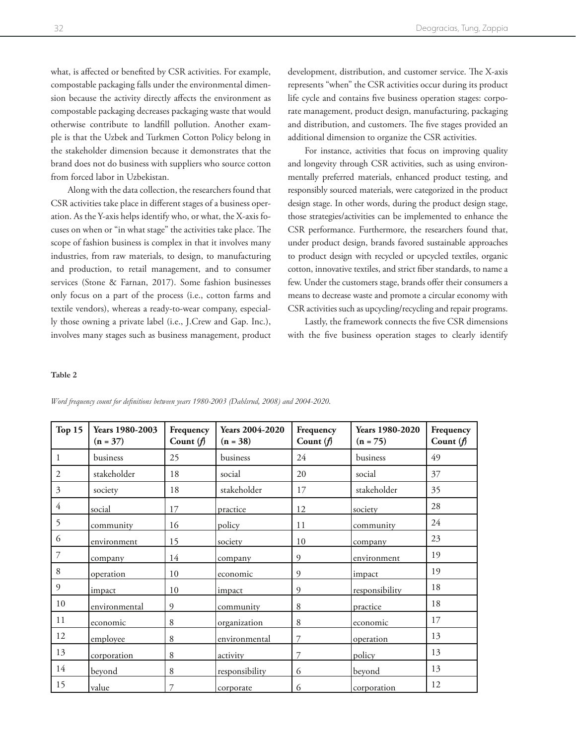what, is affected or benefited by CSR activities. For example, compostable packaging falls under the environmental dimension because the activity directly affects the environment as compostable packaging decreases packaging waste that would otherwise contribute to landfill pollution. Another example is that the Uzbek and Turkmen Cotton Policy belong in the stakeholder dimension because it demonstrates that the brand does not do business with suppliers who source cotton from forced labor in Uzbekistan.

Along with the data collection, the researchers found that CSR activities take place in different stages of a business operation. As the Y-axis helps identify who, or what, the X-axis focuses on when or "in what stage" the activities take place. The scope of fashion business is complex in that it involves many industries, from raw materials, to design, to manufacturing and production, to retail management, and to consumer services (Stone & Farnan, 2017). Some fashion businesses only focus on a part of the process (i.e., cotton farms and textile vendors), whereas a ready-to-wear company, especially those owning a private label (i.e., J.Crew and Gap. Inc.), involves many stages such as business management, product

development, distribution, and customer service. The X-axis represents "when" the CSR activities occur during its product life cycle and contains five business operation stages: corporate management, product design, manufacturing, packaging and distribution, and customers. The five stages provided an additional dimension to organize the CSR activities.

For instance, activities that focus on improving quality and longevity through CSR activities, such as using environmentally preferred materials, enhanced product testing, and responsibly sourced materials, were categorized in the product design stage. In other words, during the product design stage, those strategies/activities can be implemented to enhance the CSR performance. Furthermore, the researchers found that, under product design, brands favored sustainable approaches to product design with recycled or upcycled textiles, organic cotton, innovative textiles, and strict fiber standards, to name a few. Under the customers stage, brands offer their consumers a means to decrease waste and promote a circular economy with CSR activities such as upcycling/recycling and repair programs.

Lastly, the framework connects the five CSR dimensions with the five business operation stages to clearly identify

#### **Table 2**

| Top 15 | Years 1980-2003<br>$(n = 37)$ | Frequency<br>Count $(f)$ | <b>Years 2004-2020</b><br>$(n = 38)$ | Frequency<br>Count $(f)$ | Years 1980-2020<br>$(n = 75)$ | Frequency<br>Count $(f)$ |
|--------|-------------------------------|--------------------------|--------------------------------------|--------------------------|-------------------------------|--------------------------|
| 1      | business                      | 25                       | business                             | 24                       | business                      | 49                       |
| 2      | stakeholder                   | 18                       | social                               | 20                       | social                        | 37                       |
| 3      | society                       | 18                       | stakeholder                          | 17                       | stakeholder                   | 35                       |
| 4      | social                        | 17                       | practice                             | 12                       | society                       | 28                       |
| 5      | community                     | 16                       | policy                               | 11                       | community                     | 24                       |
| 6      | environment                   | 15                       | society                              | 10                       | company                       | 23                       |
| 7      | company                       | 14                       | company                              | 9                        | environment                   | 19                       |
| 8      | operation                     | 10                       | economic                             | 9                        | impact                        | 19                       |
| 9      | impact                        | 10                       | impact                               | 9                        | responsibility                | 18                       |
| 10     | environmental                 | 9                        | community                            | 8                        | practice                      | 18                       |
| 11     | economic                      | 8                        | organization                         | 8                        | economic                      | 17                       |
| 12     | employee                      | 8                        | environmental                        | 7                        | operation                     | 13                       |
| 13     | corporation                   | 8                        | activity                             | 7                        | policy                        | 13                       |
| 14     | beyond                        | 8                        | responsibility                       | 6                        | beyond                        | 13                       |
| 15     | value                         | 7                        | corporate                            | 6                        | corporation                   | 12                       |

*Word frequency count for definitions between years 1980-2003 (Dahlsrud, 2008) and 2004-2020.*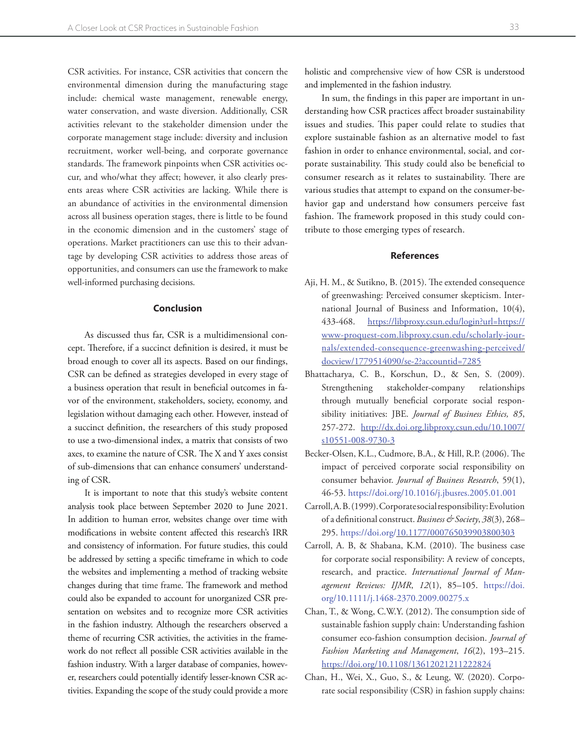CSR activities. For instance, CSR activities that concern the environmental dimension during the manufacturing stage include: chemical waste management, renewable energy, water conservation, and waste diversion. Additionally, CSR activities relevant to the stakeholder dimension under the corporate management stage include: diversity and inclusion recruitment, worker well-being, and corporate governance standards. The framework pinpoints when CSR activities occur, and who/what they affect; however, it also clearly presents areas where CSR activities are lacking. While there is an abundance of activities in the environmental dimension across all business operation stages, there is little to be found in the economic dimension and in the customers' stage of operations. Market practitioners can use this to their advantage by developing CSR activities to address those areas of opportunities, and consumers can use the framework to make well-informed purchasing decisions.

#### **Conclusion**

As discussed thus far, CSR is a multidimensional concept. Therefore, if a succinct definition is desired, it must be broad enough to cover all its aspects. Based on our findings, CSR can be defined as strategies developed in every stage of a business operation that result in beneficial outcomes in favor of the environment, stakeholders, society, economy, and legislation without damaging each other. However, instead of a succinct definition, the researchers of this study proposed to use a two-dimensional index, a matrix that consists of two axes, to examine the nature of CSR. The X and Y axes consist of sub-dimensions that can enhance consumers' understanding of CSR.

It is important to note that this study's website content analysis took place between September 2020 to June 2021. In addition to human error, websites change over time with modifications in website content affected this research's IRR and consistency of information. For future studies, this could be addressed by setting a specific timeframe in which to code the websites and implementing a method of tracking website changes during that time frame. The framework and method could also be expanded to account for unorganized CSR presentation on websites and to recognize more CSR activities in the fashion industry. Although the researchers observed a theme of recurring CSR activities, the activities in the framework do not reflect all possible CSR activities available in the fashion industry. With a larger database of companies, however, researchers could potentially identify lesser-known CSR activities. Expanding the scope of the study could provide a more

In sum, the findings in this paper are important in understanding how CSR practices affect broader sustainability issues and studies. This paper could relate to studies that explore sustainable fashion as an alternative model to fast fashion in order to enhance environmental, social, and corporate sustainability. This study could also be beneficial to consumer research as it relates to sustainability. There are various studies that attempt to expand on the consumer-behavior gap and understand how consumers perceive fast fashion. The framework proposed in this study could contribute to those emerging types of research.

#### **References**

- Aji, H. M., & Sutikno, B. (2015). The extended consequence of greenwashing: Perceived consumer skepticism. International Journal of Business and Information, 10(4), 433-468. [https://libproxy.csun.edu/login?url=https://](https://libproxy.csun.edu/login?url=https://www-proquest-com.libproxy.csun.edu/scholarly-journals/extended-consequence-greenwashing-perceived/docview/1779514090/se-2?accountid=7285) [www-proquest-com.libproxy.csun.edu/scholarly-jour](https://libproxy.csun.edu/login?url=https://www-proquest-com.libproxy.csun.edu/scholarly-journals/extended-consequence-greenwashing-perceived/docview/1779514090/se-2?accountid=7285)[nals/extended-consequence-greenwashing-perceived/](https://libproxy.csun.edu/login?url=https://www-proquest-com.libproxy.csun.edu/scholarly-journals/extended-consequence-greenwashing-perceived/docview/1779514090/se-2?accountid=7285) [docview/1779514090/se-2?accountid=7285](https://libproxy.csun.edu/login?url=https://www-proquest-com.libproxy.csun.edu/scholarly-journals/extended-consequence-greenwashing-perceived/docview/1779514090/se-2?accountid=7285)
- Bhattacharya, C. B., Korschun, D., & Sen, S. (2009). Strengthening stakeholder-company relationships through mutually beneficial corporate social responsibility initiatives: JBE. *Journal of Business Ethics, 85*, 257-272. [http://dx.doi.org.libproxy.csun.edu/10.1007/](http://dx.doi.org.libproxy.csun.edu/10.1007/s10551-008-9730-3) [s10551-008-9730-3](http://dx.doi.org.libproxy.csun.edu/10.1007/s10551-008-9730-3)
- Becker-Olsen, K.L., Cudmore, B.A., & Hill, R.P. (2006). The impact of perceived corporate social responsibility on consumer behavior. *Journal of Business Research*, 59(1), 46-53. https://doi.org/10.1016/j.jbusres.2005.01.001
- Carroll, A. B. (1999). Corporate social responsibility: Evolution of a definitional construct. *Business & Society*, *38*(3), 268– 295. https://doi.org/[10.1177/000765039903800303](https://doi-org.libproxy.csun.edu/10.1177/000765039903800303)
- Carroll, A. B, & Shabana, K.M. (2010). The business case for corporate social responsibility: A review of concepts, research, and practice. *International Journal of Management Reviews: IJMR*, *12*(1), 85–105. https://doi. org/10.1111/j.1468-2370.2009.00275.x
- Chan, T., & Wong, C.W.Y. (2012). The consumption side of sustainable fashion supply chain: Understanding fashion consumer eco-fashion consumption decision. *Journal of Fashion Marketing and Management*, *16*(2), 193–215. <https://doi.org/10.1108/13612021211222824>
- Chan, H., Wei, X., Guo, S., & Leung, W. (2020). Corporate social responsibility (CSR) in fashion supply chains: